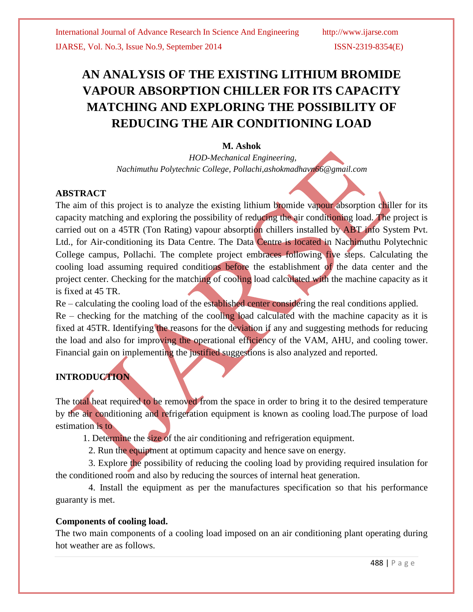# **AN ANALYSIS OF THE EXISTING LITHIUM BROMIDE VAPOUR ABSORPTION CHILLER FOR ITS CAPACITY MATCHING AND EXPLORING THE POSSIBILITY OF REDUCING THE AIR CONDITIONING LOAD**

# **M. Ashok**

*HOD-Mechanical Engineering, Nachimuthu Polytechnic College, Pollachi,ashokmadhavn66@gmail.com*

# **ABSTRACT**

The aim of this project is to analyze the existing lithium bromide vapour absorption chiller for its capacity matching and exploring the possibility of reducing the air conditioning load. The project is carried out on a 45TR (Ton Rating) vapour absorption chillers installed by ABT info System Pvt. Ltd., for Air-conditioning its Data Centre. The Data Centre is located in Nachimuthu Polytechnic College campus, Pollachi. The complete project embraces following five steps. Calculating the cooling load assuming required conditions before the establishment of the data center and the project center. Checking for the matching of cooling load calculated with the machine capacity as it is fixed at 45 TR.

Re – calculating the cooling load of the established center considering the real conditions applied.

 $Re -$  checking for the matching of the cooling load calculated with the machine capacity as it is fixed at 45TR. Identifying the reasons for the deviation if any and suggesting methods for reducing the load and also for improving the operational efficiency of the VAM, AHU, and cooling tower. Financial gain on implementing the justified suggestions is also analyzed and reported.

# **INTRODUCTION**

The total heat required to be removed from the space in order to bring it to the desired temperature by the air conditioning and refrigeration equipment is known as cooling load.The purpose of load estimation is to

1. Determine the size of the air conditioning and refrigeration equipment.

2. Run the equipment at optimum capacity and hence save on energy.

3. Explore the possibility of reducing the cooling load by providing required insulation for the conditioned room and also by reducing the sources of internal heat generation.

4. Install the equipment as per the manufactures specification so that his performance guaranty is met.

### **Components of cooling load.**

The two main components of a cooling load imposed on an air conditioning plant operating during hot weather are as follows.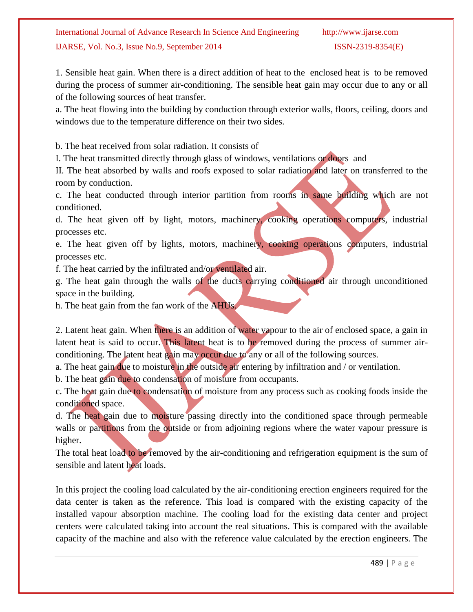1. Sensible heat gain. When there is a direct addition of heat to the enclosed heat is to be removed during the process of summer air-conditioning. The sensible heat gain may occur due to any or all of the following sources of heat transfer.

a. The heat flowing into the building by conduction through exterior walls, floors, ceiling, doors and windows due to the temperature difference on their two sides.

b. The heat received from solar radiation. It consists of

I. The heat transmitted directly through glass of windows, ventilations or doors and

II. The heat absorbed by walls and roofs exposed to solar radiation and later on transferred to the room by conduction.

c. The heat conducted through interior partition from rooms in same building which are not conditioned.

d. The heat given off by light, motors, machinery, cooking operations computers, industrial processes etc.

e. The heat given off by lights, motors, machinery, cooking operations computers, industrial processes etc.

f. The heat carried by the infiltrated and/or ventilated air.

g. The heat gain through the walls of the ducts carrying conditioned air through unconditioned space in the building.

h. The heat gain from the fan work of the AHUs.

2. Latent heat gain. When there is an addition of water vapour to the air of enclosed space, a gain in latent heat is said to occur. This latent heat is to be removed during the process of summer airconditioning. The latent heat gain may occur due to any or all of the following sources.

a. The heat gain due to moisture in the outside air entering by infiltration and / or ventilation.

b. The heat gain due to condensation of moisture from occupants.

c. The heat gain due to condensation of moisture from any process such as cooking foods inside the conditioned space.

d. The heat gain due to moisture passing directly into the conditioned space through permeable walls or partitions from the outside or from adjoining regions where the water vapour pressure is higher.

The total heat load to be removed by the air-conditioning and refrigeration equipment is the sum of sensible and latent heat loads.

In this project the cooling load calculated by the air-conditioning erection engineers required for the data center is taken as the reference. This load is compared with the existing capacity of the installed vapour absorption machine. The cooling load for the existing data center and project centers were calculated taking into account the real situations. This is compared with the available capacity of the machine and also with the reference value calculated by the erection engineers. The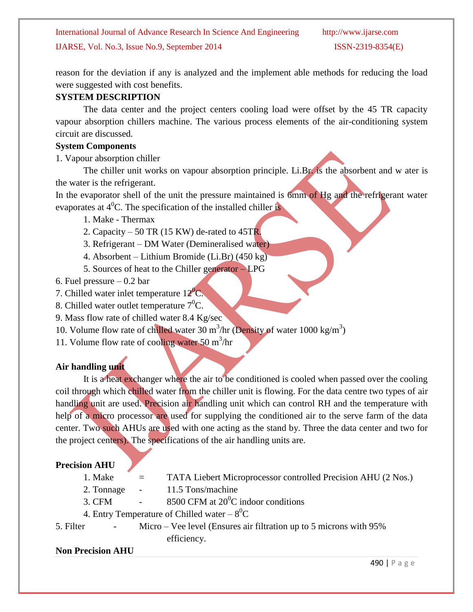reason for the deviation if any is analyzed and the implement able methods for reducing the load were suggested with cost benefits.

# **SYSTEM DESCRIPTION**

The data center and the project centers cooling load were offset by the 45 TR capacity vapour absorption chillers machine. The various process elements of the air-conditioning system circuit are discussed.

#### **System Components**

1. Vapour absorption chiller

The chiller unit works on vapour absorption principle. Li.Br. is the absorbent and w ater is the water is the refrigerant.

In the evaporator shell of the unit the pressure maintained is 6mm of Hg and the refrigerant water evaporates at  $4^0C$ . The specification of the installed chiller is

- 1. Make Thermax
- 2. Capacity  $-50$  TR (15 KW) de-rated to 45TR.
- 3. Refrigerant DM Water (Demineralised water)
- 4. Absorbent Lithium Bromide (Li.Br) (450 kg)
- 5. Sources of heat to the Chiller generator LPG
- 6. Fuel pressure  $-0.2$  bar
- 7. Chilled water inlet temperature  $12^{\circ}$ C.
- 8. Chilled water outlet temperature  $7^0C$ .
- 9. Mass flow rate of chilled water 8.4 Kg/sec
- 10. Volume flow rate of chilled water 30 m<sup>3</sup>/hr (Density of water 1000 kg/m<sup>3</sup>)
- 11. Volume flow rate of cooling water 50  $\text{m}^3/\text{hr}$

# **Air handling unit**

It is a heat exchanger where the air to be conditioned is cooled when passed over the cooling coil through which chilled water from the chiller unit is flowing. For the data centre two types of air handling unit are used. Precision air handling unit which can control RH and the temperature with help of a micro processor are used for supplying the conditioned air to the serve farm of the data center. Two such AHUs are used with one acting as the stand by. Three the data center and two for the project centers). The specifications of the air handling units are.

### **Precision AHU**

- 1. Make = TATA Liebert Microprocessor controlled Precision AHU (2 Nos.)
- 2. Tonnage 11.5 Tons/machine
- 3. CFM  $-$  8500 CFM at 20<sup>0</sup>C indoor conditions
- 4. Entry Temperature of Chilled water  $-8^0C$
- 5. Filter Micro Vee level (Ensures air filtration up to 5 microns with 95% efficiency.

### **Non Precision AHU**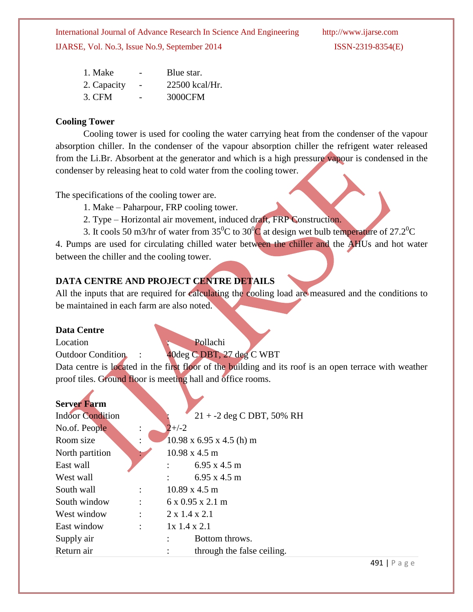| 1. Make     | $\overline{\phantom{0}}$ | Blue star.       |
|-------------|--------------------------|------------------|
| 2. Capacity |                          | $22500$ kcal/Hr. |
| 3. CFM      |                          | 3000CFM          |

### **Cooling Tower**

Cooling tower is used for cooling the water carrying heat from the condenser of the vapour absorption chiller. In the condenser of the vapour absorption chiller the refrigent water released from the Li.Br. Absorbent at the generator and which is a high pressure vapour is condensed in the condenser by releasing heat to cold water from the cooling tower.

The specifications of the cooling tower are.

- 1. Make Paharpour, FRP cooling tower.
- 2. Type Horizontal air movement, induced draft, FRP Construction.
- 3. It cools 50 m3/hr of water from  $35^{\circ}$ C to  $30^{\circ}$ C at design wet bulb temperature of 27.2<sup>o</sup>C

4. Pumps are used for circulating chilled water between the chiller and the AHUs and hot water between the chiller and the cooling tower.

# **DATA CENTRE AND PROJECT CENTRE DETAILS**

All the inputs that are required for *calculating* the cooling load are measured and the conditions to be maintained in each farm are also noted.

### **Data Centre**

Location **Pollachi** Outdoor Condition : 40deg C DBT, 27 deg C WBT Data centre is located in the first floor of the building and its roof is an open terrace with weather proof tiles. Ground floor is meeting hall and office rooms.

| <b>Server Farm</b>      |                                      |
|-------------------------|--------------------------------------|
| <b>Indoor Condition</b> | $21 + -2$ deg C DBT, 50% RH          |
| No.of. People           | $2+/-2$                              |
| Room size               | $10.98$ x 6.95 x 4.5 (h) m           |
| North partition         | $10.98 \times 4.5 \text{ m}$         |
| East wall               | $6.95 \times 4.5 \text{ m}$          |
| West wall               | $6.95 \times 4.5 \text{ m}$          |
| South wall              | $10.89 \times 4.5 \text{ m}$         |
| South window            | $6 \times 0.95 \times 2.1 \text{ m}$ |
| West window             | $2 \times 1.4 \times 2.1$            |
| East window             | $1x$ 1.4 x 2.1                       |
| Supply air              | Bottom throws.                       |
| Return air              | through the false ceiling.           |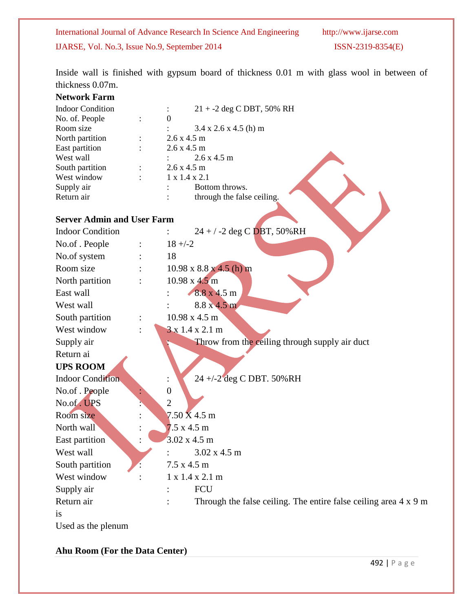Inside wall is finished with gypsum board of thickness 0.01 m with glass wool in between of thickness 0.07m.

#### **Network Farm**

| <b>Indoor Condition</b>           | 21 + -2 deg C DBT, 50% RH                                               |
|-----------------------------------|-------------------------------------------------------------------------|
| No. of. People                    | $\theta$                                                                |
| Room size                         | $3.4 \times 2.6 \times 4.5$ (h) m                                       |
| North partition                   | 2.6 x 4.5 m                                                             |
| East partition                    | 2.6 x 4.5 m                                                             |
| West wall                         | 2.6 x 4.5 m                                                             |
| South partition                   | 2.6 x 4.5 m                                                             |
| West window                       | 1 x 1.4 x 2.1<br>Bottom throws.                                         |
| Supply air<br>Return air          | through the false ceiling.                                              |
|                                   |                                                                         |
| <b>Server Admin and User Farm</b> |                                                                         |
| <b>Indoor Condition</b>           | $24 + 7 - 2$ deg C DBT, 50%RH                                           |
| No.of . People                    | $18 + -2$                                                               |
| No.of system                      | 18                                                                      |
| Room size                         | $10.98 \times 8.8 \times 4.5$ (h) m                                     |
| North partition                   | $10.98 \times 4.5 \text{ m}$                                            |
| East wall                         | 8.8 x 4.5 m                                                             |
| West wall                         | $8.8 \times 4.5 \text{ m}$                                              |
| South partition                   | 10.98 x 4.5 m                                                           |
| West window                       | $3 \times 1.4 \times 2.1$ m                                             |
| Supply air                        | Throw from the ceiling through supply air duct                          |
| Return ai                         |                                                                         |
| <b>UPS ROOM</b>                   |                                                                         |
| <b>Indoor Condition</b>           | 24 +/-2 deg C DBT. 50%RH                                                |
| No.of . People                    | $\boldsymbol{0}$                                                        |
| No.of. UPS                        | $\overline{2}$                                                          |
| Room size                         | $7.50 \text{ X } 4.5 \text{ m}$                                         |
| North wall                        | $7.5 \times 4.5 \text{ m}$                                              |
| East partition                    | $3.02 \times 4.5 \text{ m}$                                             |
| West wall                         | 3.02 x 4.5 m                                                            |
| South partition                   | $7.5 \times 4.5 \text{ m}$                                              |
| West window                       | 1 x 1.4 x 2.1 m                                                         |
| Supply air                        | FCU                                                                     |
| Return air                        | Through the false ceiling. The entire false ceiling area $4 \times 9$ m |
| <i>is</i>                         |                                                                         |
| Used as the plenum                |                                                                         |

**Ahu Room (For the Data Center)**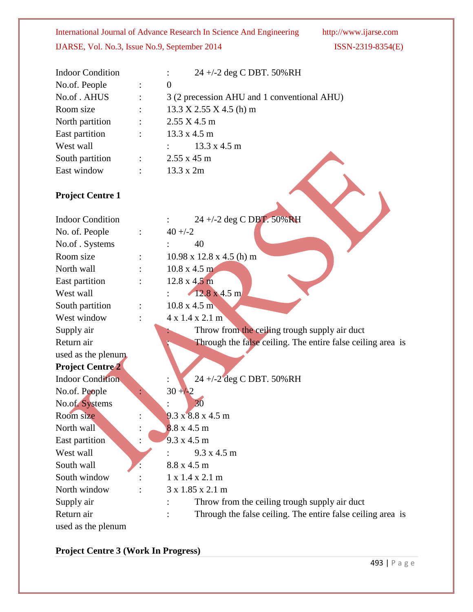| <b>Indoor Condition</b> | 24 +/-2 deg C DBT. 50%RH                    |
|-------------------------|---------------------------------------------|
| No.of. People           | $\overline{0}$                              |
| No.of . AHUS            | 3 (2 precession AHU and 1 conventional AHU) |
| Room size               | $13.3 X 2.55 X 4.5$ (h) m                   |
| North partition         | $2.55$ X 4.5 m                              |
| East partition          | 13.3 x 4.5 m                                |
| West wall               | $13.3 \times 4.5 \text{ m}$                 |
| South partition         | $2.55 \times 45$ m                          |
| East window             | 13.3 x 2m                                   |
| <b>Project Centre 1</b> |                                             |
| <b>Indoor Condition</b> | 24 +/-2 deg C DBT. 50%RH                    |
| No. of. People          | $40 + -2$                                   |
| No.of. Systems          | 40                                          |
| Room size               | $10.98 \times 12.8 \times 4.5$ (h) m        |
| North wall              | $10.8 \times 4.5 \text{ m}$                 |
| East partition          | $12.8 \times 4.5 \text{ m}$                 |
| West wall               | $12.8 \times 4.5 \text{ m}$                 |
| South partition         | $10.8 \times 4.5 \text{ m}$                 |
| West window             | $4 \times 1.4 \times 2.1 \text{ m}$         |

Supply air **in the ceiling trough supply air duct** Throw from the ceiling trough supply air duct Return air **in the Through the false ceiling.** The entire false ceiling area is

used as the plenum **Project Centre 2** Indoor Condition : 24 +/-2 deg C DBT. 50%RH No.of. People  $30 + 2$ No.of. Systems : 30 Room size : 9.3 x 8.8 x 4.5 m North wall  $\qquad \qquad : \qquad 8.8 \times 4.5 \text{ m}$ East partition : 9.3 x 4.5 m West wall  $\frac{9.3 \times 4.5 \text{ m}}{2}$ South wall  $8.8 \times 4.5 \text{ m}$ South window :  $1 \times 1.4 \times 2.1 \text{ m}$ North window : 3 x 1.85 x 2.1 m Supply air : Throw from the ceiling trough supply air duct Return air : Through the false ceiling. The entire false ceiling area is used as the plenum

**Project Centre 3 (Work In Progress)**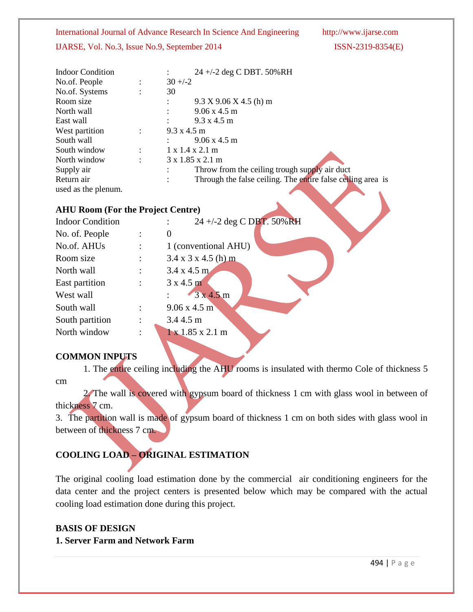International Journal of Advance Research In Science And Engineering http://www.ijarse.com

#### IJARSE, Vol. No.3, Issue No.9, September 2014 ISSN-2319-8354(E)

| <b>Indoor Condition</b> |                | 24 +/-2 deg C DBT. 50%RH                                    |
|-------------------------|----------------|-------------------------------------------------------------|
| No.of. People           | $\ddot{\cdot}$ | $30 + (-2)$                                                 |
| No.of. Systems          |                | 30                                                          |
| Room size               |                | $9.3 X 9.06 X 4.5$ (h) m                                    |
| North wall              |                | $9.06 \times 4.5 \text{ m}$                                 |
| East wall               |                | $9.3 \times 4.5 \text{ m}$                                  |
| West partition          | ÷              | $9.3 \times 4.5 \text{ m}$                                  |
| South wall              |                | $9.06 \times 4.5 \text{ m}$                                 |
| South window            |                | $1 \times 1.4 \times 2.1 \text{ m}$                         |
| North window            | $\ddot{\cdot}$ | $3 \times 1.85 \times 2.1 \text{ m}$                        |
| Supply air              |                | Throw from the ceiling trough supply air duct               |
| Return air              |                | Through the false ceiling. The entire false ceiling area is |
| used as the plenum.     |                |                                                             |

### **AHU Room (For the Project Centre)**

| <b>Indoor Condition</b> |                | 24 +/-2 deg C DBT. 50%RH             |
|-------------------------|----------------|--------------------------------------|
| No. of. People          |                | $\theta$                             |
| No.of. AHUs             |                | 1 (conventional AHU)                 |
| Room size               |                | $3.4 \times 3 \times 4.5$ (h) m      |
| North wall              |                | $3.4 \times 4.5 \text{ m}$           |
| East partition          | $\ddot{\cdot}$ | $3 \times 4.5$ m                     |
| West wall               |                | 3x4.5m                               |
| South wall              |                | $9.06 \times 4.5 \text{ m}$          |
| South partition         |                | 3.4 4.5 m                            |
| North window            |                | $1 \times 1.85 \times 2.1 \text{ m}$ |

#### **COMMON INPUTS**

1. The entire ceiling including the AHU rooms is insulated with thermo Cole of thickness 5 cm

2. The wall is covered with gypsum board of thickness 1 cm with glass wool in between of thickness 7 cm.

3. The partition wall is made of gypsum board of thickness 1 cm on both sides with glass wool in between of thickness 7 cm.

# **COOLING LOAD – ORIGINAL ESTIMATION**

The original cooling load estimation done by the commercial air conditioning engineers for the data center and the project centers is presented below which may be compared with the actual cooling load estimation done during this project.

# **BASIS OF DESIGN**

**1. Server Farm and Network Farm**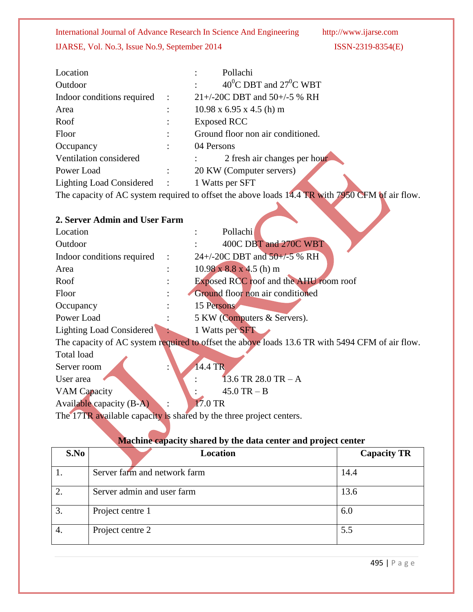| Location                   | Pollachi                               |
|----------------------------|----------------------------------------|
| Outdoor                    | 40 <sup>0</sup> C DBT and $27^0$ C WBT |
| Indoor conditions required | $21 + (-20C)$ DBT and 50+/-5 % RH      |
| Area                       | $10.98 \times 6.95 \times 4.5$ (h) m   |
| Roof                       | <b>Exposed RCC</b>                     |
| Floor                      | Ground floor non air conditioned.      |
| Occupancy                  | 04 Persons                             |
| Ventilation considered     | 2 fresh air changes per hour           |
| Power Load                 | 20 KW (Computer servers)               |
| Lighting Load Considered : | 1 Watts per SFT                        |
|                            |                                        |

The capacity of AC system required to offset the above loads 14.4 TR with 7950 CFM of air flow.

| 2. Server Admin and User Farm                                       |  |                                                                                                 |  |
|---------------------------------------------------------------------|--|-------------------------------------------------------------------------------------------------|--|
| Location                                                            |  | Pollachi                                                                                        |  |
| Outdoor                                                             |  | 400C DBT and 270C WBT                                                                           |  |
| Indoor conditions required                                          |  | $24 + (-20C)$ DBT and $50 + (-5)$ % RH                                                          |  |
| Area                                                                |  | $10.98 \times 8.8 \times 4.5$ (h) m                                                             |  |
| Roof                                                                |  | Exposed RCC roof and the AHU room roof                                                          |  |
| Floor                                                               |  | Ground floor non air conditioned                                                                |  |
| Occupancy                                                           |  | 15 Persons                                                                                      |  |
| Power Load                                                          |  | 5 KW (Computers & Servers).                                                                     |  |
| Lighting Load Considered                                            |  | 1 Watts per SFT                                                                                 |  |
|                                                                     |  | The capacity of AC system required to offset the above loads 13.6 TR with 5494 CFM of air flow. |  |
| Total load                                                          |  |                                                                                                 |  |
| Server room                                                         |  | 14.4 TR                                                                                         |  |
| User area                                                           |  | 13.6 TR 28.0 TR $- A$                                                                           |  |
| VAM Capacity                                                        |  | $45.0$ TR $- B$                                                                                 |  |
| Available capacity (B-A)                                            |  | 17.0 TR                                                                                         |  |
| The 17TR available capacity is shared by the three project centers. |  |                                                                                                 |  |

# **Machine capacity shared by the data center and project center**

| S.No | <b>Location</b>              | <b>Capacity TR</b> |
|------|------------------------------|--------------------|
|      | Server farm and network farm | 14.4               |
| 2.   | Server admin and user farm   | 13.6               |
| 3.   | Project centre 1             | 6.0                |
| 4.   | Project centre 2             | 5.5                |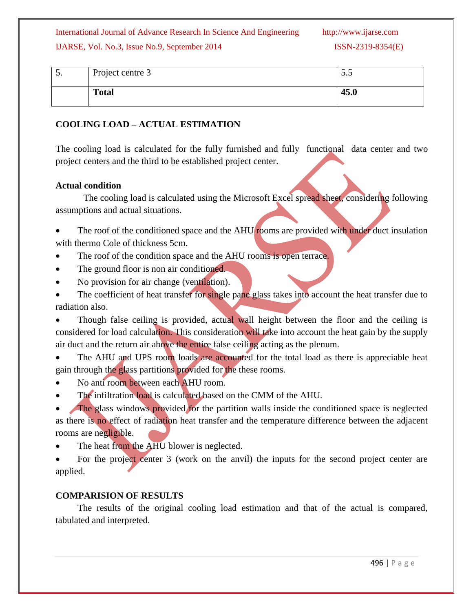International Journal of Advance Research In Science And Engineering http://www.ijarse.com

#### IJARSE, Vol. No.3, Issue No.9, September 2014 ISSN-2319-8354(E)

| J. | Project centre 3 | ن.ر  |
|----|------------------|------|
|    | <b>Total</b>     | 45.0 |

### **COOLING LOAD – ACTUAL ESTIMATION**

The cooling load is calculated for the fully furnished and fully functional data center and two project centers and the third to be established project center.

#### **Actual condition**

The cooling load is calculated using the Microsoft Excel spread sheet, considering following assumptions and actual situations.

The roof of the conditioned space and the AHU rooms are provided with under duct insulation with thermo Cole of thickness 5cm.

- The roof of the condition space and the AHU rooms is open terrace.
- The ground floor is non air conditioned.
- No provision for air change (ventilation).

The coefficient of heat transfer for single pane glass takes into account the heat transfer due to radiation also.

 Though false ceiling is provided, actual wall height between the floor and the ceiling is considered for load calculation. This consideration will take into account the heat gain by the supply air duct and the return air above the entire false ceiling acting as the plenum.

• The AHU and UPS room loads are accounted for the total load as there is appreciable heat gain through the glass partitions provided for the these rooms.

- No anti room between each AHU room.
- The infiltration load is calculated based on the CMM of the AHU.

 The glass windows provided for the partition walls inside the conditioned space is neglected as there is no effect of radiation heat transfer and the temperature difference between the adjacent rooms are negligible.

The heat from the AHU blower is neglected.

 For the project center 3 (work on the anvil) the inputs for the second project center are applied.

### **COMPARISION OF RESULTS**

The results of the original cooling load estimation and that of the actual is compared, tabulated and interpreted.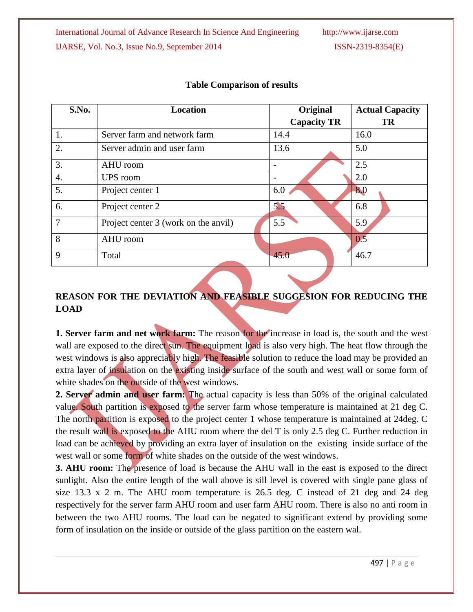| S.No.          | <b>Location</b>                      | Original                 | <b>Actual Capacity</b> |
|----------------|--------------------------------------|--------------------------|------------------------|
|                |                                      | <b>Capacity TR</b>       | <b>TR</b>              |
| 1.             | Server farm and network farm         | 14.4                     | 16.0                   |
| 2.             | Server admin and user farm           | 13.6                     | 5.0                    |
| 3.             | AHU room                             |                          | 2.5                    |
| 4.             | <b>UPS</b> room                      | $\overline{\phantom{a}}$ | 2.0                    |
| 5.             | Project center 1                     | 6.0                      | 8.0                    |
| 6.             | Project center 2                     | 5.5                      | 6.8                    |
| $\overline{7}$ | Project center 3 (work on the anvil) | 5.5                      | 5.9                    |
| 8              | AHU room                             |                          | 0.5                    |
| 9              | Total                                | 45.0                     | 46.7                   |

# **Table Comparison of results**

# **REASON FOR THE DEVIATION AND FEASIBLE SUGGESION FOR REDUCING THE LOAD**

**1. Server farm and net work farm:** The reason for the increase in load is, the south and the west wall are exposed to the direct sun. The equipment load is also very high. The heat flow through the west windows is also appreciably high. The feasible solution to reduce the load may be provided an extra layer of insulation on the existing inside surface of the south and west wall or some form of white shades on the outside of the west windows.

**2. Server admin and user farm:** The actual capacity is less than 50% of the original calculated value. South partition is exposed to the server farm whose temperature is maintained at 21 deg C. The north partition is exposed to the project center 1 whose temperature is maintained at 24deg. C the result wall is exposed to the AHU room where the del T is only 2.5 deg C. Further reduction in load can be achieved by providing an extra layer of insulation on the existing inside surface of the west wall or some form of white shades on the outside of the west windows.

**3. AHU room:** The presence of load is because the AHU wall in the east is exposed to the direct sunlight. Also the entire length of the wall above is sill level is covered with single pane glass of size 13.3 x 2 m. The AHU room temperature is 26.5 deg. C instead of 21 deg and 24 deg respectively for the server farm AHU room and user farm AHU room. There is also no anti room in between the two AHU rooms. The load can be negated to significant extend by providing some form of insulation on the inside or outside of the glass partition on the eastern wal.